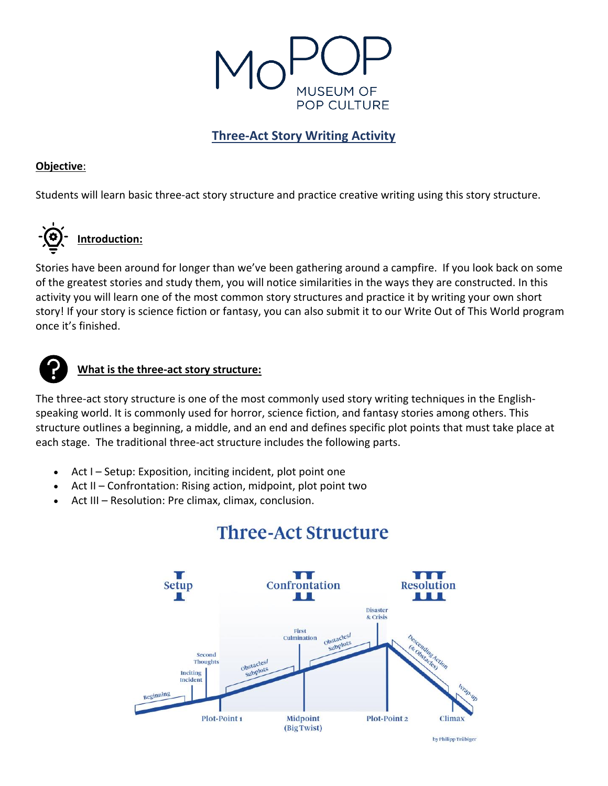

## **Three-Act Story Writing Activity**

## **Objective**:

Students will learn basic three-act story structure and practice creative writing using this story structure.



Stories have been around for longer than we've been gathering around a campfire. If you look back on some of the greatest stories and study them, you will notice similarities in the ways they are constructed. In this activity you will learn one of the most common story structures and practice it by writing your own short story! If your story is science fiction or fantasy, you can also submit it to our Write Out of This World program once it's finished.



## **What is the three-act story structure:**

The three-act story structure is one of the most commonly used story writing techniques in the Englishspeaking world. It is commonly used for horror, science fiction, and fantasy stories among others. This structure outlines a beginning, a middle, and an end and defines specific plot points that must take place at each stage. The traditional three-act structure includes the following parts.

- Act I Setup: Exposition, inciting incident, plot point one
- Act II Confrontation: Rising action, midpoint, plot point two
- Act III Resolution: Pre climax, climax, conclusion.



# **Three-Act Structure**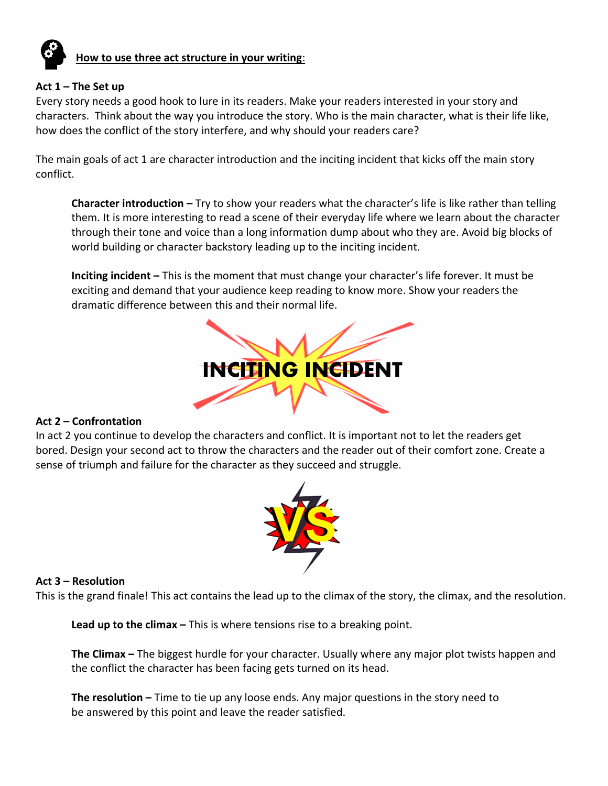

# **How to use three act structure in your writing**:

#### **Act 1 – The Set up**

Every story needs a good hook to lure in its readers. Make your readers interested in your story and characters. Think about the way you introduce the story. Who is the main character, what is their life like, how does the conflict of the story interfere, and why should your readers care?

The main goals of act 1 are character introduction and the inciting incident that kicks off the main story conflict.

**Character introduction –** Try to show your readers what the character's life is like rather than telling them. It is more interesting to read a scene of their everyday life where we learn about the character through their tone and voice than a long information dump about who they are. Avoid big blocks of world building or character backstory leading up to the inciting incident.

**Inciting incident –** This is the moment that must change your character's life forever. It must be exciting and demand that your audience keep reading to know more. Show your readers the dramatic difference between this and their normal life.



#### **Act 2 – Confrontation**

In act 2 you continue to develop the characters and conflict. It is important not to let the readers get bored. Design your second act to throw the characters and the reader out of their comfort zone. Create a sense of triumph and failure for the character as they succeed and struggle.



#### **Act 3 – Resolution**

This is the grand finale! This act contains the lead up to the climax of the story, the climax, and the resolution.

**Lead up to the climax –** This is where tensions rise to a breaking point.

**The Climax –** The biggest hurdle for your character. Usually where any major plot twists happen and the conflict the character has been facing gets turned on its head.

**The resolution –** Time to tie up any loose ends. Any major questions in the story need to be answered by this point and leave the reader satisfied.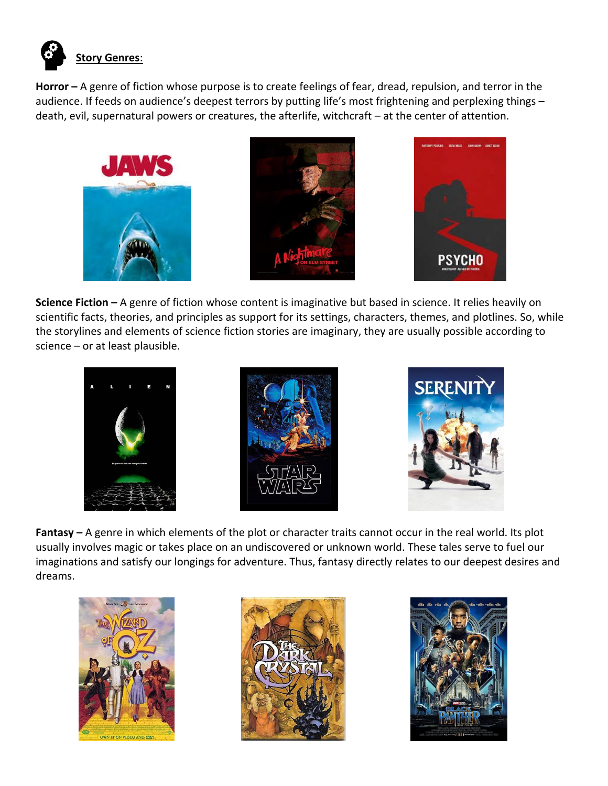

**Horror –** A genre of fiction whose purpose is to create feelings of fear, dread, repulsion, and terror in the audience. If feeds on audience's deepest terrors by putting life's most frightening and perplexing things – death, evil, supernatural powers or creatures, the afterlife, witchcraft – at the center of attention.







**Science Fiction –** A genre of fiction whose content is imaginative but based in science. It relies heavily on scientific facts, theories, and principles as support for its settings, characters, themes, and plotlines. So, while the storylines and elements of science fiction stories are imaginary, they are usually possible according to science – or at least plausible.







**Fantasy –** A genre in which elements of the plot or character traits cannot occur in the real world. Its plot usually involves magic or takes place on an undiscovered or unknown world. These tales serve to fuel our imaginations and satisfy our longings for adventure. Thus, fantasy directly relates to our deepest desires and dreams.